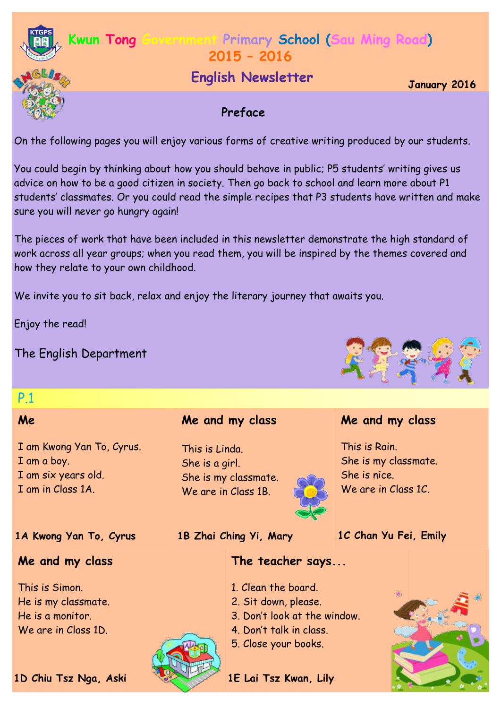

## **Kwun Tong Government Primary School (Sau Ming Road) 2015 – 2016**

# **January 2016 English Newsletter**

## **Preface**

On the following pages you will enjoy various forms of creative writing produced by our students.

You could begin by thinking about how you should behave in public; P5 students' writing gives us advice on how to be a good citizen in society. Then go back to school and learn more about P1 students' classmates. Or you could read the simple recipes that P3 students have written and make sure you will never go hungry again!

The pieces of work that have been included in this newsletter demonstrate the high standard of work across all year groups; when you read them, you will be inspired by the themes covered and how they relate to your own childhood.

We invite you to sit back, relax and enjoy the literary journey that awaits you.

Enjoy the read!

The English Department

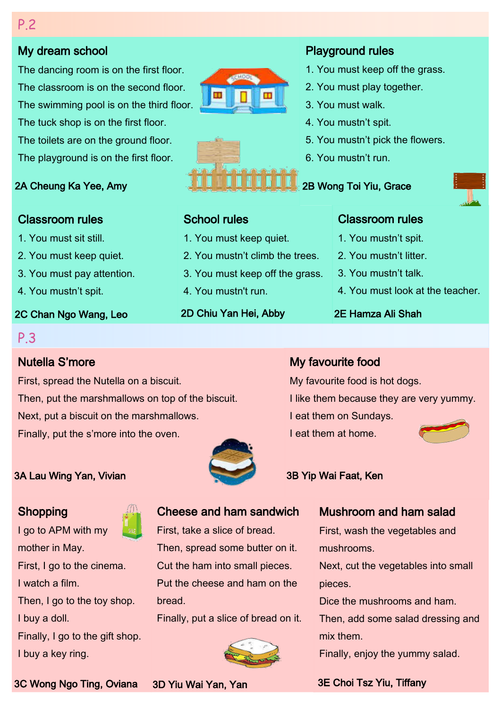## My dream school

The dancing room is on the first floor. The classroom is on the second floor. The swimming pool is on the third floor. The tuck shop is on the first floor. The toilets are on the ground floor. The playground is on the first floor.

#### 2A Cheung Ka Yee, Amy

## Classroom rules

1. You must sit still.

2. You must keep quiet.

3. You must pay attention.

4. You mustn't spit.

#### 2C Chan Ngo Wang, Leo

## P.3

## Nutella S'more

First, spread the Nutella on a biscuit. Then, put the marshmallows on top of the biscuit. Next, put a biscuit on the marshmallows. Finally, put the s'more into the oven.

## 3A Lau Wing Yan, Vivian 3B Yip Wai Faat, Ken

## **Shopping**

I go to APM with my mother in May. First, I go to the cinema. I watch a film. Then, I go to the toy shop. I buy a doll. Finally, I go to the gift shop.

I buy a key ring.

# Cheese and ham sandwich

First, take a slice of bread. Then, spread some butter on it. Cut the ham into small pieces. Put the cheese and ham on the bread.

Finally, put a slice of bread on it.



## Playground rules

- 1. You must keep off the grass.
- 2. You must play together.
- 3. You must walk.
- 4. You mustn't spit.
- 5. You mustn't pick the flowers.
- 6. You mustn't run.

## 2B Wong Toi Yiu, Grace

## School rules

- 1. You must keep quiet.
- 2. You mustn't climb the trees.
- 3. You must keep off the grass.
- 4. You mustn't run.
- 2D Chiu Yan Hei, Abby

## Classroom rules

- 1. You mustn't spit.
- 2. You mustn't litter
- 3. You mustn't talk.
- 4. You must look at the teacher.

## 2E Hamza Ali Shah

## My favourite food

My favourite food is hot dogs.

I like them because they are very yummy.

- I eat them on Sundays.
- I eat them at home.



## Mushroom and ham salad

First, wash the vegetables and mushrooms.

Next, cut the vegetables into small pieces.

Dice the mushrooms and ham.

Then, add some salad dressing and mix them.

Finally, enjoy the yummy salad.

3E Choi Tsz Yiu, Tiffany

3C Wong Ngo Ting, Oviana 3D Yiu Wai Yan, Yan

P.2



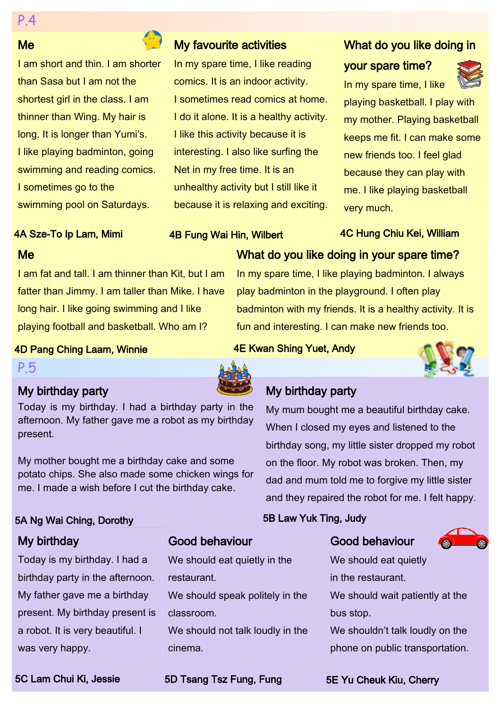#### Me

I am short and thin. I am shorter than Sasa but I am not the shortest girl in the class. I am thinner than Wing. My hair is long. It is longer than Yumi's. I like playing badminton, going swimming and reading comics. I sometimes go to the swimming pool on Saturdays.

## My favourite activities

In my spare time, I like reading comics. It is an indoor activity. I sometimes read comics at home. I do it alone. It is a healthy activity. I like this activity because it is interesting. I also like surfing the Net in my free time. It is an unhealthy activity but I still like it because it is relaxing and exciting.

## What do you like doing in

## your spare time?



In my spare time, I like playing basketball. I play with my mother. Playing basketball keeps me fit. I can make some new friends too. I feel glad because they can play with me. I like playing basketball very much.

4C Hung Chiu Kei, William

## 4A Sze-To Ip Lam, Mimi

#### 4B Fung Wai Hin, Wilbert

## Me

I am fat and tall. I am thinner than Kit, but I am fatter than Jimmy. I am taller than Mike. I have long hair. I like going swimming and I like playing football and basketball. Who am I?

What do you like doing in your spare time?

In my spare time, I like playing badminton. I always play badminton in the playground. I often play badminton with my friends. It is a healthy activity. It is fun and interesting. I can make new friends too.

#### 4D Pang Ching Laam, Winnie

#### P.5

## My birthday party

Today is my birthday. I had a birthday party in the afternoon. My father gave me a robot as my birthday present.

My mother bought me a birthday cake and some potato chips. She also made some chicken wings for me. I made a wish before I cut the birthday cake.

## 5A Ng Wai Ching, Dorothy

## My birthday

Today is my birthday. I had a birthday party in the afternoon. My father gave me a birthday present. My birthday present is a robot. It is very beautiful. I was very happy.

## Good behaviour

We should eat quietly in the restaurant.

We should speak politely in the classroom.

We should not talk loudly in the cinema.

## My birthday party

4E Kwan Shing Yuet, Andy

My mum bought me a beautiful birthday cake. When I closed my eyes and listened to the birthday song, my little sister dropped my robot on the floor. My robot was broken. Then, my dad and mum told me to forgive my little sister and they repaired the robot for me. I felt happy.

## 5B Law Yuk Ting, Judy

## Good behaviour



We should eat quietly in the restaurant. We should wait patiently at the bus stop. We shouldn't talk loudly on the phone on public transportation.

5C Lam Chui Ki, Jessie **5D Teang Tsz Fung, Fung 1997 5E Yu Cheuk** Kiu, Cherry